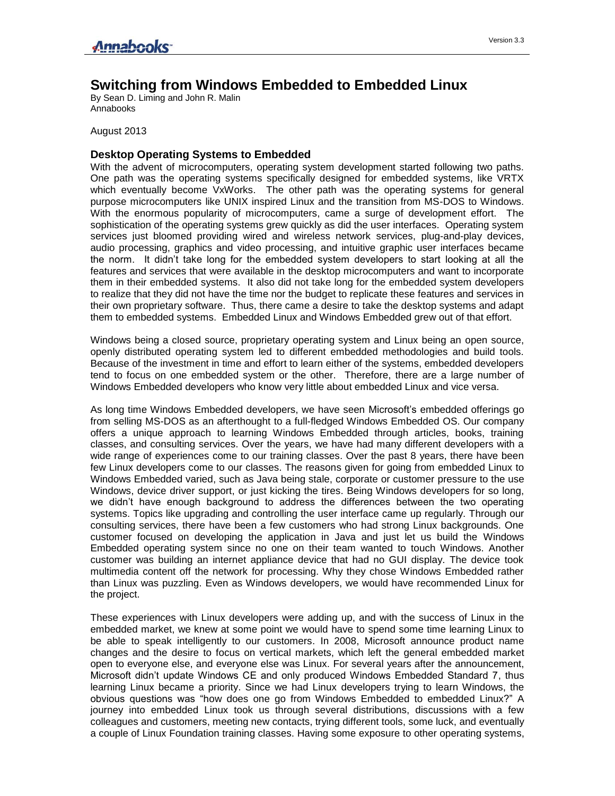## **Switching from Windows Embedded to Embedded Linux**

By Sean D. Liming and John R. Malin Annabooks

August 2013

## **Desktop Operating Systems to Embedded**

With the advent of microcomputers, operating system development started following two paths. One path was the operating systems specifically designed for embedded systems, like VRTX which eventually become VxWorks. The other path was the operating systems for general purpose microcomputers like UNIX inspired Linux and the transition from MS-DOS to Windows. With the enormous popularity of microcomputers, came a surge of development effort. The sophistication of the operating systems grew quickly as did the user interfaces. Operating system services just bloomed providing wired and wireless network services, plug-and-play devices, audio processing, graphics and video processing, and intuitive graphic user interfaces became the norm. It didn't take long for the embedded system developers to start looking at all the features and services that were available in the desktop microcomputers and want to incorporate them in their embedded systems. It also did not take long for the embedded system developers to realize that they did not have the time nor the budget to replicate these features and services in their own proprietary software. Thus, there came a desire to take the desktop systems and adapt them to embedded systems. Embedded Linux and Windows Embedded grew out of that effort.

Windows being a closed source, proprietary operating system and Linux being an open source, openly distributed operating system led to different embedded methodologies and build tools. Because of the investment in time and effort to learn either of the systems, embedded developers tend to focus on one embedded system or the other. Therefore, there are a large number of Windows Embedded developers who know very little about embedded Linux and vice versa.

As long time Windows Embedded developers, we have seen Microsoft's embedded offerings go from selling MS-DOS as an afterthought to a full-fledged Windows Embedded OS. Our company offers a unique approach to learning Windows Embedded through articles, books, training classes, and consulting services. Over the years, we have had many different developers with a wide range of experiences come to our training classes. Over the past 8 years, there have been few Linux developers come to our classes. The reasons given for going from embedded Linux to Windows Embedded varied, such as Java being stale, corporate or customer pressure to the use Windows, device driver support, or just kicking the tires. Being Windows developers for so long, we didn't have enough background to address the differences between the two operating systems. Topics like upgrading and controlling the user interface came up regularly. Through our consulting services, there have been a few customers who had strong Linux backgrounds. One customer focused on developing the application in Java and just let us build the Windows Embedded operating system since no one on their team wanted to touch Windows. Another customer was building an internet appliance device that had no GUI display. The device took multimedia content off the network for processing. Why they chose Windows Embedded rather than Linux was puzzling. Even as Windows developers, we would have recommended Linux for the project.

These experiences with Linux developers were adding up, and with the success of Linux in the embedded market, we knew at some point we would have to spend some time learning Linux to be able to speak intelligently to our customers. In 2008, Microsoft announce product name changes and the desire to focus on vertical markets, which left the general embedded market open to everyone else, and everyone else was Linux. For several years after the announcement, Microsoft didn't update Windows CE and only produced Windows Embedded Standard 7, thus learning Linux became a priority. Since we had Linux developers trying to learn Windows, the obvious questions was "how does one go from Windows Embedded to embedded Linux?" A journey into embedded Linux took us through several distributions, discussions with a few colleagues and customers, meeting new contacts, trying different tools, some luck, and eventually a couple of Linux Foundation training classes. Having some exposure to other operating systems,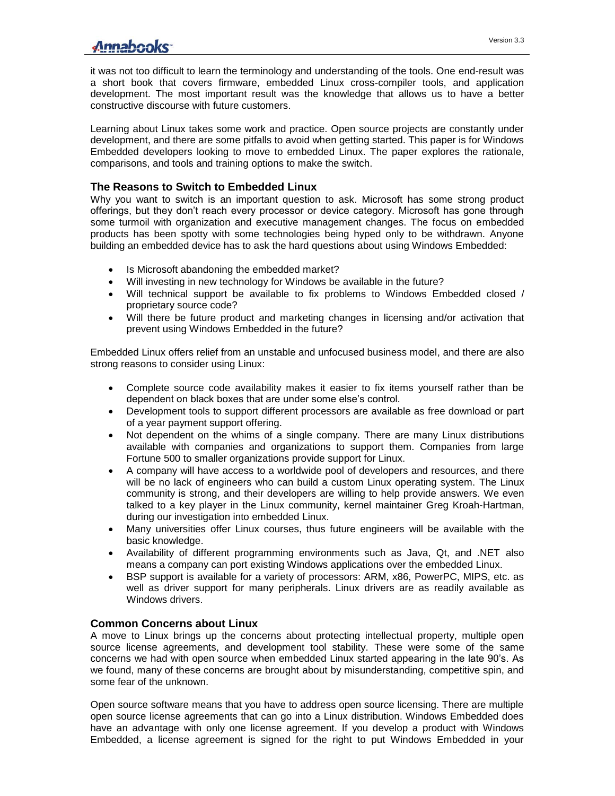## Annahooks-

it was not too difficult to learn the terminology and understanding of the tools. One end-result was a short book that covers firmware, embedded Linux cross-compiler tools, and application development. The most important result was the knowledge that allows us to have a better constructive discourse with future customers.

Learning about Linux takes some work and practice. Open source projects are constantly under development, and there are some pitfalls to avoid when getting started. This paper is for Windows Embedded developers looking to move to embedded Linux. The paper explores the rationale, comparisons, and tools and training options to make the switch.

## **The Reasons to Switch to Embedded Linux**

Why you want to switch is an important question to ask. Microsoft has some strong product offerings, but they don't reach every processor or device category. Microsoft has gone through some turmoil with organization and executive management changes. The focus on embedded products has been spotty with some technologies being hyped only to be withdrawn. Anyone building an embedded device has to ask the hard questions about using Windows Embedded:

- Is Microsoft abandoning the embedded market?
- Will investing in new technology for Windows be available in the future?
- Will technical support be available to fix problems to Windows Embedded closed / proprietary source code?
- Will there be future product and marketing changes in licensing and/or activation that prevent using Windows Embedded in the future?

Embedded Linux offers relief from an unstable and unfocused business model, and there are also strong reasons to consider using Linux:

- Complete source code availability makes it easier to fix items yourself rather than be dependent on black boxes that are under some else's control.
- Development tools to support different processors are available as free download or part of a year payment support offering.
- Not dependent on the whims of a single company. There are many Linux distributions available with companies and organizations to support them. Companies from large Fortune 500 to smaller organizations provide support for Linux.
- A company will have access to a worldwide pool of developers and resources, and there will be no lack of engineers who can build a custom Linux operating system. The Linux community is strong, and their developers are willing to help provide answers. We even talked to a key player in the Linux community, kernel maintainer Greg Kroah-Hartman, during our investigation into embedded Linux.
- Many universities offer Linux courses, thus future engineers will be available with the basic knowledge.
- Availability of different programming environments such as Java, Qt, and .NET also means a company can port existing Windows applications over the embedded Linux.
- BSP support is available for a variety of processors: ARM, x86, PowerPC, MIPS, etc. as well as driver support for many peripherals. Linux drivers are as readily available as Windows drivers.

## **Common Concerns about Linux**

A move to Linux brings up the concerns about protecting intellectual property, multiple open source license agreements, and development tool stability. These were some of the same concerns we had with open source when embedded Linux started appearing in the late 90's. As we found, many of these concerns are brought about by misunderstanding, competitive spin, and some fear of the unknown.

Open source software means that you have to address open source licensing. There are multiple open source license agreements that can go into a Linux distribution. Windows Embedded does have an advantage with only one license agreement. If you develop a product with Windows Embedded, a license agreement is signed for the right to put Windows Embedded in your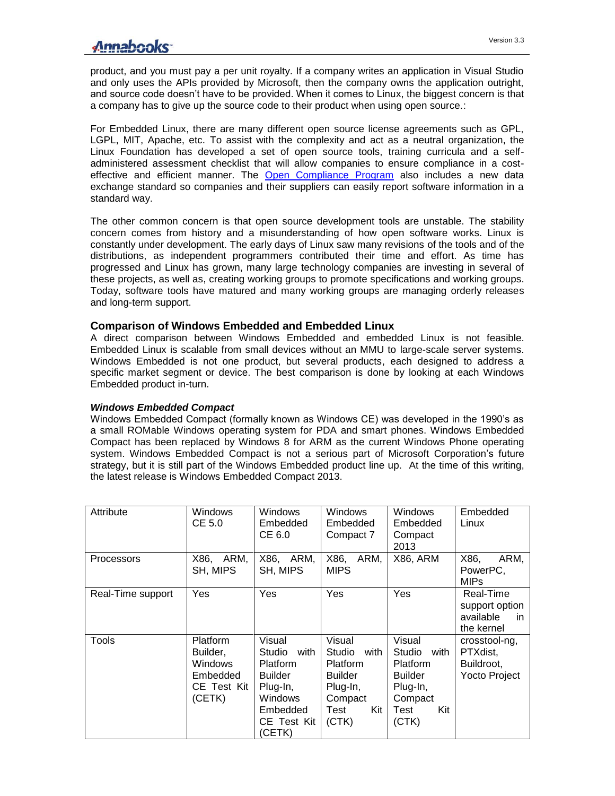product, and you must pay a per unit royalty. If a company writes an application in Visual Studio and only uses the APIs provided by Microsoft, then the company owns the application outright, and source code doesn't have to be provided. When it comes to Linux, the biggest concern is that a company has to give up the source code to their product when using open source.:

For Embedded Linux, there are many different open source license agreements such as GPL, LGPL, MIT, Apache, etc. To assist with the complexity and act as a neutral organization, the Linux Foundation has developed a set of open source tools, training curricula and a selfadministered assessment checklist that will allow companies to ensure compliance in a cost-effective and efficient manner. The [Open Compliance Program](http://www.linuxfoundation.org/programs/legal/compliance) also includes a new data exchange standard so companies and their suppliers can easily report software information in a standard way.

The other common concern is that open source development tools are unstable. The stability concern comes from history and a misunderstanding of how open software works. Linux is constantly under development. The early days of Linux saw many revisions of the tools and of the distributions, as independent programmers contributed their time and effort. As time has progressed and Linux has grown, many large technology companies are investing in several of these projects, as well as, creating working groups to promote specifications and working groups. Today, software tools have matured and many working groups are managing orderly releases and long-term support.

## **Comparison of Windows Embedded and Embedded Linux**

A direct comparison between Windows Embedded and embedded Linux is not feasible. Embedded Linux is scalable from small devices without an MMU to large-scale server systems. Windows Embedded is not one product, but several products, each designed to address a specific market segment or device. The best comparison is done by looking at each Windows Embedded product in-turn.

#### *Windows Embedded Compact*

Windows Embedded Compact (formally known as Windows CE) was developed in the 1990's as a small ROMable Windows operating system for PDA and smart phones. Windows Embedded Compact has been replaced by Windows 8 for ARM as the current Windows Phone operating system. Windows Embedded Compact is not a serious part of Microsoft Corporation's future strategy, but it is still part of the Windows Embedded product line up. At the time of this writing, the latest release is Windows Embedded Compact 2013.

| Attribute         | Windows<br>CE 5.0                                                    | Windows<br>Embedded<br>CE 6.0                                                                                                    | <b>Windows</b><br>Embedded<br>Compact 7                                                                      | Windows<br>Embedded<br>Compact<br>2013                                                                | Embedded<br>Linux                                               |
|-------------------|----------------------------------------------------------------------|----------------------------------------------------------------------------------------------------------------------------------|--------------------------------------------------------------------------------------------------------------|-------------------------------------------------------------------------------------------------------|-----------------------------------------------------------------|
| <b>Processors</b> | X86, ARM,<br>SH, MIPS                                                | X86, ARM,<br>SH, MIPS                                                                                                            | X86,<br>ARM,<br><b>MIPS</b>                                                                                  | <b>X86, ARM</b>                                                                                       | X86,<br>ARM,<br>PowerPC,<br><b>MIPs</b>                         |
| Real-Time support | Yes                                                                  | Yes                                                                                                                              | Yes                                                                                                          | Yes                                                                                                   | Real-Time<br>support option<br>available<br>in.<br>the kernel   |
| Tools             | Platform<br>Builder,<br>Windows<br>Embedded<br>CE Test Kit<br>(CETK) | Visual<br>Studio<br>with<br><b>Platform</b><br><b>Builder</b><br>Plug-In,<br><b>Windows</b><br>Embedded<br>CE Test Kit<br>(CETK) | Visual<br>Studio<br>with<br><b>Platform</b><br><b>Builder</b><br>Plug-In,<br>Compact<br>Test<br>Kit<br>(CTK) | Visual<br>Studio<br>with<br>Platform<br><b>Builder</b><br>Plug-In,<br>Compact<br>Kit<br>Test<br>(CTK) | crosstool-ng,<br>PTXdist,<br>Buildroot,<br><b>Yocto Project</b> |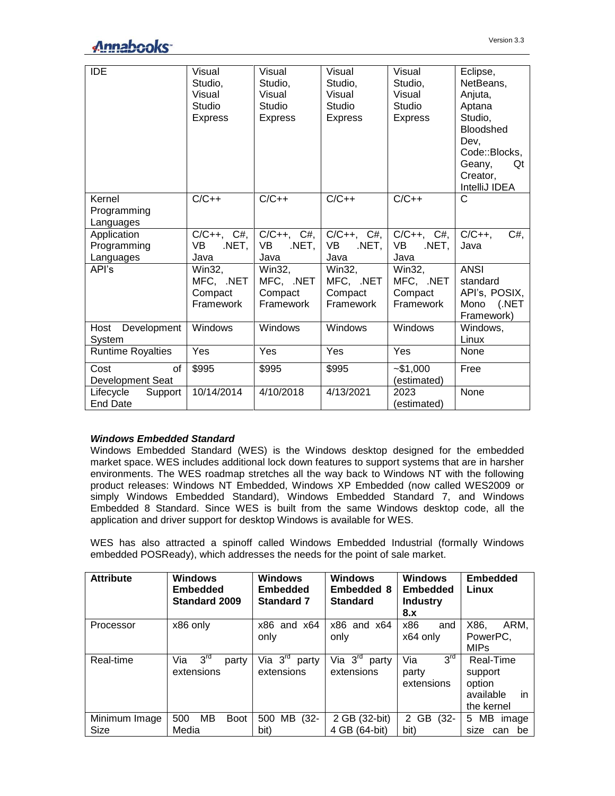# Annabooks<sup>-</sup>

| <b>IDE</b>                              | Visual<br>Studio,<br>Visual<br>Studio<br><b>Express</b> | Visual<br>Studio,<br>Visual<br>Studio<br><b>Express</b> | Visual<br>Studio,<br>Visual<br>Studio<br><b>Express</b> | Visual<br>Studio,<br>Visual<br>Studio<br><b>Express</b> | Eclipse,<br>NetBeans,<br>Anjuta,<br>Aptana<br>Studio,<br>Bloodshed<br>Dev,<br>Code::Blocks,<br>Geany,<br>Qt<br>Creator,<br>IntelliJ IDEA |
|-----------------------------------------|---------------------------------------------------------|---------------------------------------------------------|---------------------------------------------------------|---------------------------------------------------------|------------------------------------------------------------------------------------------------------------------------------------------|
| Kernel<br>Programming<br>Languages      | $C/C++$                                                 | $C/C++$                                                 | $C/C++$                                                 | $C/C++$                                                 | C                                                                                                                                        |
| Application<br>Programming<br>Languages | $C/C_{++}$ , $C_{#}$ ,<br>VB<br>.NET,<br>Java           | $C/C++$ , $C#$ ,<br><b>VB</b><br>.NET,<br>Java          | $C/C_{++}$ , $C_{#}$ ,<br>VB.<br>.NET,<br>Java          | $C/C_{++}$ , $C_{+}$ ,<br>VB<br>.NET,<br>Java           | $C/C++$ ,<br>$C#$ .<br>Java                                                                                                              |
| API's                                   | Win32,<br>MFC, .NET<br>Compact<br>Framework             | Win32,<br>MFC, .NET<br>Compact<br>Framework             | Win32,<br>MFC, .NET<br>Compact<br>Framework             | Win32,<br>MFC, .NET<br>Compact<br>Framework             | <b>ANSI</b><br>standard<br>API's, POSIX,<br>Mono<br>$($ .NET<br>Framework)                                                               |
| Host<br>Development<br>System           | Windows                                                 | Windows                                                 | Windows                                                 | Windows                                                 | Windows,<br>Linux                                                                                                                        |
| <b>Runtime Royalties</b>                | Yes                                                     | Yes                                                     | Yes                                                     | Yes                                                     | None                                                                                                                                     |
| Cost<br>of<br><b>Development Seat</b>   | \$995                                                   | \$995                                                   | \$995                                                   | $-$ \$1,000<br>(estimated)                              | Free                                                                                                                                     |
| Lifecycle<br>Support<br><b>End Date</b> | 10/14/2014                                              | 4/10/2018                                               | 4/13/2021                                               | 2023<br>(estimated)                                     | None                                                                                                                                     |

#### *Windows Embedded Standard*

Windows Embedded Standard (WES) is the Windows desktop designed for the embedded market space. WES includes additional lock down features to support systems that are in harsher environments. The WES roadmap stretches all the way back to Windows NT with the following product releases: Windows NT Embedded, Windows XP Embedded (now called WES2009 or simply Windows Embedded Standard), Windows Embedded Standard 7, and Windows Embedded 8 Standard. Since WES is built from the same Windows desktop code, all the application and driver support for desktop Windows is available for WES.

WES has also attracted a spinoff called Windows Embedded Industrial (formally Windows embedded POSReady), which addresses the needs for the point of sale market.

| <b>Attribute</b> | Windows<br><b>Embedded</b><br><b>Standard 2009</b> | Windows<br><b>Embedded</b><br><b>Standard 7</b> | <b>Windows</b><br>Embedded 8<br><b>Standard</b> | <b>Windows</b><br><b>Embedded</b><br><b>Industry</b><br>8.x | <b>Embedded</b><br>Linux |
|------------------|----------------------------------------------------|-------------------------------------------------|-------------------------------------------------|-------------------------------------------------------------|--------------------------|
| Processor        | x86 only                                           | $x86$ and $x64$                                 | $x86$ and $x64$                                 | x86<br>and                                                  | X86,<br>ARM.             |
|                  |                                                    | only                                            | only                                            | x64 only                                                    | PowerPC.                 |
|                  |                                                    |                                                 |                                                 |                                                             | <b>MIPs</b>              |
| Real-time        | 3 <sup>rd</sup><br>Via<br>party                    | Via $3^{\text{rd}}$<br>party                    | Via $3^{\text{rd}}$<br>party                    | $3^{rd}$<br>Via                                             | Real-Time                |
|                  | extensions                                         | extensions                                      | extensions                                      | party                                                       | support                  |
|                  |                                                    |                                                 |                                                 | extensions                                                  | option                   |
|                  |                                                    |                                                 |                                                 |                                                             | available<br>in.         |
|                  |                                                    |                                                 |                                                 |                                                             | the kernel               |
| Minimum Image    | 500<br>MB<br><b>Boot</b>                           | $(32 -$<br>500<br>MВ                            | 2 GB (32-bit)                                   | $\mathbf{2}$<br>GB<br>$(32 -$                               | MВ<br>5<br>image         |
| Size             | Media                                              | bit)                                            | 4 GB (64-bit)                                   | bit)                                                        | size<br>be<br>can        |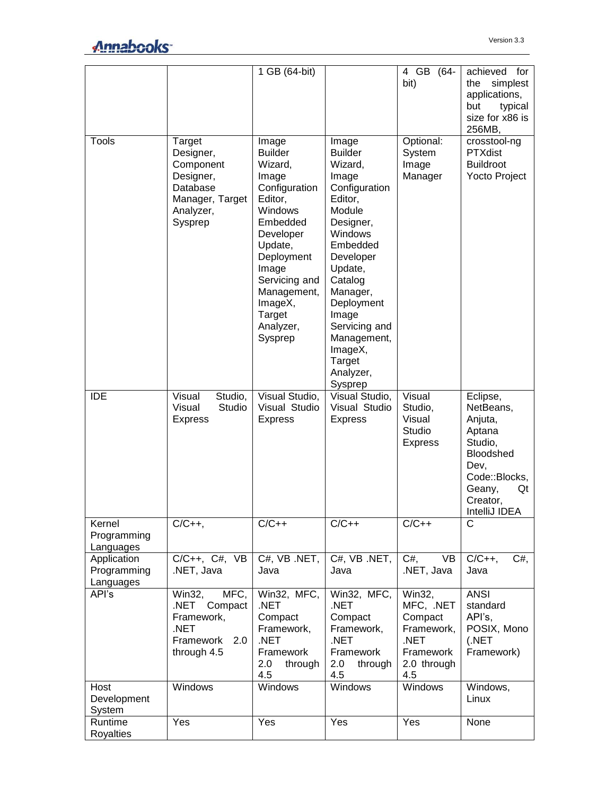|                                         |                                                                                                      | 1 GB (64-bit)                                                                                                                                                                                                              |                                                                                                                                                                                                                                                                          | 4 GB<br>$(64 -$<br>bit)                                                                                      | achieved for<br>simplest<br>the<br>applications,<br>but<br>typical<br>size for x86 is<br>256MB,                                          |
|-----------------------------------------|------------------------------------------------------------------------------------------------------|----------------------------------------------------------------------------------------------------------------------------------------------------------------------------------------------------------------------------|--------------------------------------------------------------------------------------------------------------------------------------------------------------------------------------------------------------------------------------------------------------------------|--------------------------------------------------------------------------------------------------------------|------------------------------------------------------------------------------------------------------------------------------------------|
| <b>Tools</b>                            | Target<br>Designer,<br>Component<br>Designer,<br>Database<br>Manager, Target<br>Analyzer,<br>Sysprep | Image<br><b>Builder</b><br>Wizard,<br>Image<br>Configuration<br>Editor,<br>Windows<br>Embedded<br>Developer<br>Update,<br>Deployment<br>Image<br>Servicing and<br>Management,<br>ImageX,<br>Target<br>Analyzer,<br>Sysprep | Image<br><b>Builder</b><br>Wizard,<br>Image<br>Configuration<br>Editor,<br>Module<br>Designer,<br>Windows<br>Embedded<br>Developer<br>Update,<br>Catalog<br>Manager,<br>Deployment<br>Image<br>Servicing and<br>Management,<br>ImageX,<br>Target<br>Analyzer,<br>Sysprep | Optional:<br>System<br>Image<br>Manager                                                                      | crosstool-ng<br>PTXdist<br><b>Buildroot</b><br>Yocto Project                                                                             |
| <b>IDE</b>                              | Studio,<br>Visual<br>Visual<br>Studio<br><b>Express</b>                                              | Visual Studio,<br>Visual Studio<br><b>Express</b>                                                                                                                                                                          | Visual Studio,<br>Visual Studio<br><b>Express</b>                                                                                                                                                                                                                        | Visual<br>Studio,<br>Visual<br>Studio<br><b>Express</b>                                                      | Eclipse,<br>NetBeans,<br>Anjuta,<br>Aptana<br>Studio,<br>Bloodshed<br>Dev,<br>Code::Blocks,<br>Geany,<br>Qt<br>Creator,<br>IntelliJ IDEA |
| Kernel<br>Programming<br>Languages      | $C/C++$                                                                                              | $C/C++$                                                                                                                                                                                                                    | $C/C++$                                                                                                                                                                                                                                                                  | $C/C++$                                                                                                      | C                                                                                                                                        |
| Application<br>Programming<br>Languages | $C/C++$ , $C#$ , $VB$<br>NET, Java.                                                                  | C#, VB .NET,<br>Java                                                                                                                                                                                                       | C#, VB .NET,<br>Java                                                                                                                                                                                                                                                     | $C#$ ,<br>VB<br>.NET, Java                                                                                   | $C/C++$<br>$C#$ ,<br>Java                                                                                                                |
| API's                                   | MFC,<br>Win32,<br>.NET Compact<br>Framework,<br>.NET<br>Framework<br>2.0<br>through 4.5              | Win32, MFC,<br>.NET<br>Compact<br>Framework,<br>.NET<br>Framework<br>2.0<br>through<br>4.5                                                                                                                                 | Win32, MFC,<br>.NET<br>Compact<br>Framework,<br>.NET<br>Framework<br>2.0<br>through<br>4.5                                                                                                                                                                               | $\overline{\text{W}}$ in32,<br>MFC, .NET<br>Compact<br>Framework,<br>.NET<br>Framework<br>2.0 through<br>4.5 | <b>ANSI</b><br>standard<br>API's,<br>POSIX, Mono<br>(.NET)<br>Framework)                                                                 |
| Host<br>Development<br>System           | Windows                                                                                              | Windows                                                                                                                                                                                                                    | Windows                                                                                                                                                                                                                                                                  | Windows                                                                                                      | Windows,<br>Linux                                                                                                                        |
| Runtime<br>Royalties                    | Yes                                                                                                  | Yes                                                                                                                                                                                                                        | Yes                                                                                                                                                                                                                                                                      | Yes                                                                                                          | None                                                                                                                                     |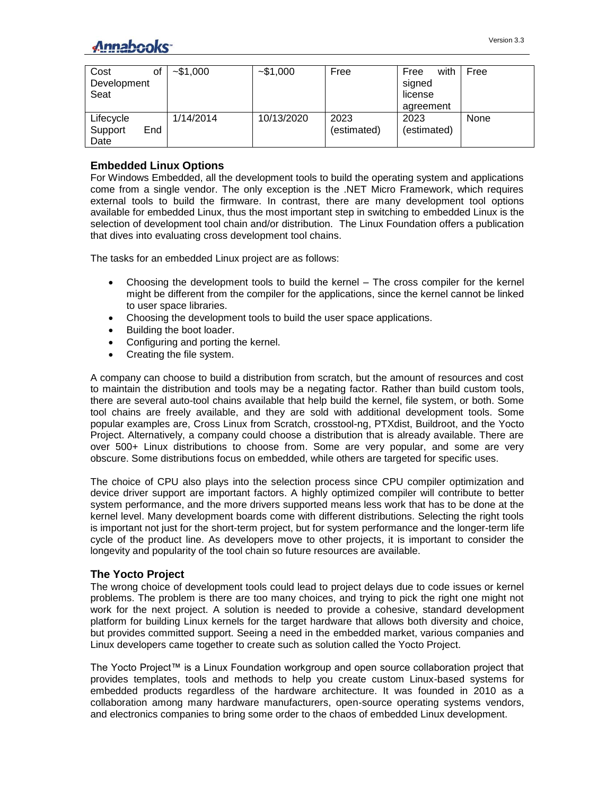| Cost<br>Development<br>Seat         | οf | $-$ \$1,000 | $-$ \$1,000 | Free                | with<br>Free<br>signed<br>license<br>agreement | Free |
|-------------------------------------|----|-------------|-------------|---------------------|------------------------------------------------|------|
| Lifecycle<br>End<br>Support<br>Date |    | 1/14/2014   | 10/13/2020  | 2023<br>(estimated) | 2023<br>(estimated)                            | None |

## **Embedded Linux Options**

For Windows Embedded, all the development tools to build the operating system and applications come from a single vendor. The only exception is the .NET Micro Framework, which requires external tools to build the firmware. In contrast, there are many development tool options available for embedded Linux, thus the most important step in switching to embedded Linux is the selection of development tool chain and/or distribution. The Linux Foundation offers a publication that dives into [evaluating cross development tool chains.](mailto:https://training.linuxfoundation.org/free-linux-training/download-training-materials/cross-development-environments-for-embedded-linux)

The tasks for an embedded Linux project are as follows:

- Choosing the development tools to build the kernel The cross compiler for the kernel might be different from the compiler for the applications, since the kernel cannot be linked to user space libraries.
- Choosing the development tools to build the user space applications.
- Building the boot loader.
- Configuring and porting the kernel.
- Creating the file system.

A company can choose to build a distribution from scratch, but the amount of resources and cost to maintain the distribution and tools may be a negating factor. Rather than build custom tools, there are several auto-tool chains available that help build the kernel, file system, or both. Some tool chains are freely available, and they are sold with additional development tools. Some popular examples are, Cross Linux from Scratch, crosstool-ng, PTXdist, Buildroot, and the Yocto Project. Alternatively, a company could choose a distribution that is already available. There are over 500+ Linux distributions to choose from. Some are very popular, and some are very obscure. Some distributions focus on embedded, while others are targeted for specific uses.

The choice of CPU also plays into the selection process since CPU compiler optimization and device driver support are important factors. A highly optimized compiler will contribute to better system performance, and the more drivers supported means less work that has to be done at the kernel level. Many development boards come with different distributions. Selecting the right tools is important not just for the short-term project, but for system performance and the longer-term life cycle of the product line. As developers move to other projects, it is important to consider the longevity and popularity of the tool chain so future resources are available.

## **The Yocto Project**

The wrong choice of development tools could lead to project delays due to code issues or kernel problems. The problem is there are too many choices, and trying to pick the right one might not work for the next project. A solution is needed to provide a cohesive, standard development platform for building Linux kernels for the target hardware that allows both diversity and choice, but provides committed support. Seeing a need in the embedded market, various companies and Linux developers came together to create such as solution called the Yocto Project.

The Yocto Project™ is a Linux Foundation workgroup and open source collaboration project that provides templates, tools and methods to help you create custom Linux-based systems for embedded products regardless of the hardware architecture. It was founded in 2010 as a collaboration among many hardware manufacturers, open-source operating systems vendors, and electronics companies to bring some order to the chaos of embedded Linux development.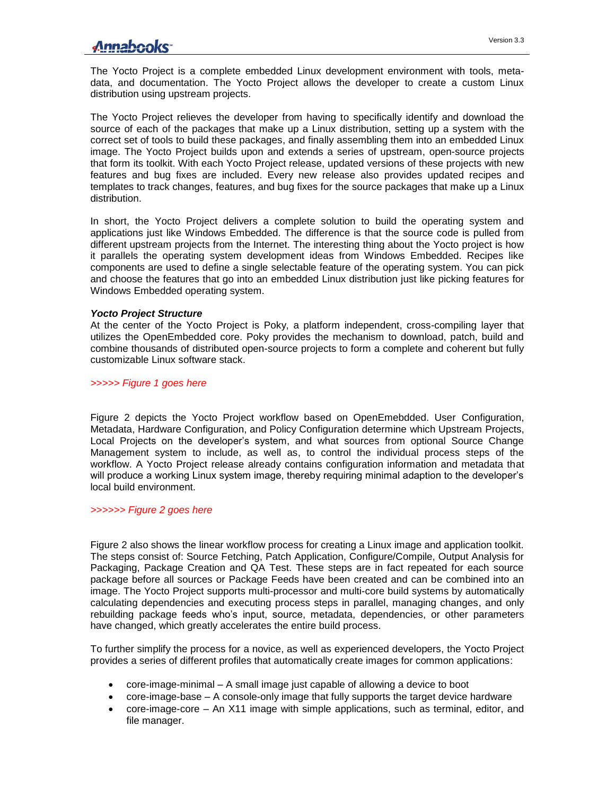## Annabooks<sup>-</sup>

The Yocto Project is a complete embedded Linux development environment with tools, metadata, and documentation. The Yocto Project allows the developer to create a custom Linux distribution using upstream projects.

The Yocto Project relieves the developer from having to specifically identify and download the source of each of the packages that make up a Linux distribution, setting up a system with the correct set of tools to build these packages, and finally assembling them into an embedded Linux image. The Yocto Project builds upon and extends a series of upstream, open-source projects that form its toolkit. With each Yocto Project release, updated versions of these projects with new features and bug fixes are included. Every new release also provides updated recipes and templates to track changes, features, and bug fixes for the source packages that make up a Linux distribution.

In short, the Yocto Project delivers a complete solution to build the operating system and applications just like Windows Embedded. The difference is that the source code is pulled from different upstream projects from the Internet. The interesting thing about the Yocto project is how it parallels the operating system development ideas from Windows Embedded. Recipes like components are used to define a single selectable feature of the operating system. You can pick and choose the features that go into an embedded Linux distribution just like picking features for Windows Embedded operating system.

#### *Yocto Project Structure*

At the center of the Yocto Project is Poky, a platform independent, cross-compiling layer that utilizes the OpenEmbedded core. Poky provides the mechanism to download, patch, build and combine thousands of distributed open-source projects to form a complete and coherent but fully customizable Linux software stack.

*>>>>> Figure 1 goes here*

Figure 2 depicts the Yocto Project workflow based on OpenEmebdded. User Configuration, Metadata, Hardware Configuration, and Policy Configuration determine which Upstream Projects, Local Projects on the developer's system, and what sources from optional Source Change Management system to include, as well as, to control the individual process steps of the workflow. A Yocto Project release already contains configuration information and metadata that will produce a working Linux system image, thereby requiring minimal adaption to the developer's local build environment.

#### *>>>>>> Figure 2 goes here*

Figure 2 also shows the linear workflow process for creating a Linux image and application toolkit. The steps consist of: Source Fetching, Patch Application, Configure/Compile, Output Analysis for Packaging, Package Creation and QA Test. These steps are in fact repeated for each source package before all sources or Package Feeds have been created and can be combined into an image. The Yocto Project supports multi-processor and multi-core build systems by automatically calculating dependencies and executing process steps in parallel, managing changes, and only rebuilding package feeds who's input, source, metadata, dependencies, or other parameters have changed, which greatly accelerates the entire build process.

To further simplify the process for a novice, as well as experienced developers, the Yocto Project provides a series of different profiles that automatically create images for common applications:

- core-image-minimal A small image just capable of allowing a device to boot
- core-image-base A console-only image that fully supports the target device hardware
- core-image-core An X11 image with simple applications, such as terminal, editor, and file manager.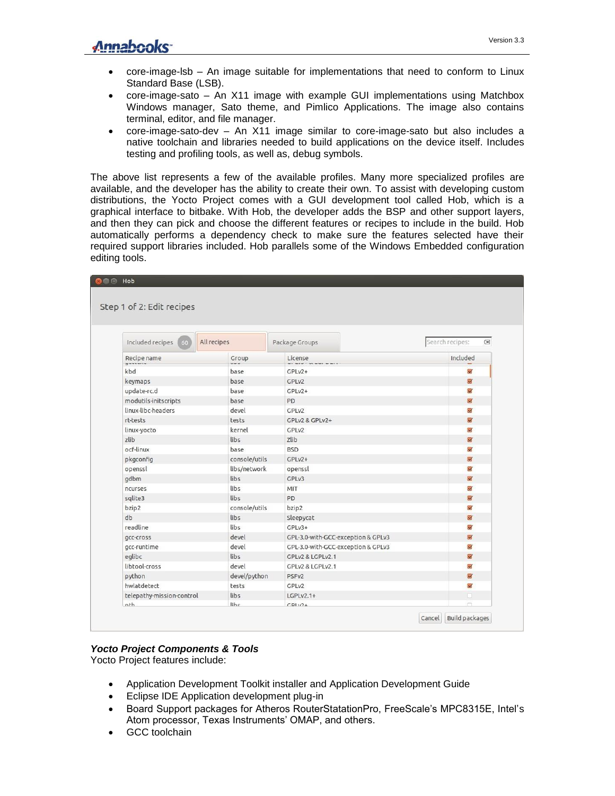- core-image-lsb An image suitable for implementations that need to conform to Linux Standard Base (LSB).
- core-image-sato An X11 image with example GUI implementations using Matchbox Windows manager, Sato theme, and Pimlico Applications. The image also contains terminal, editor, and file manager.
- core-image-sato-dev An X11 image similar to core-image-sato but also includes a native toolchain and libraries needed to build applications on the device itself. Includes testing and profiling tools, as well as, debug symbols.

The above list represents a few of the available profiles. Many more specialized profiles are available, and the developer has the ability to create their own. To assist with developing custom distributions, the Yocto Project comes with a GUI development tool called Hob, which is a graphical interface to bitbake. With Hob, the developer adds the BSP and other support layers, and then they can pick and choose the different features or recipes to include in the build. Hob automatically performs a dependency check to make sure the features selected have their required support libraries included. Hob parallels some of the Windows Embedded configuration editing tools.

| Step 1 of 2: Edit recipes |               |                                    |                               |
|---------------------------|---------------|------------------------------------|-------------------------------|
| Included recipes<br>60    | All recipes   | Package Groups                     | Search recipes:<br>$(\times)$ |
| Recipe name               | Group         | License                            | Included                      |
| kbd                       | base          | GPLv2+                             | $\overline{\vee}$             |
| keymaps                   | base          | GPL <sub>v2</sub>                  | $\overline{\vee}$             |
| update-rc.d               | base          | $GPLV2+$                           | $\overline{\vee}$             |
| modutils-initscripts      | base          | <b>PD</b>                          | $\overline{\mathbf{z}}$       |
| linux-libc-headers        | devel         | GPL <sub>v2</sub>                  | $\overline{\vee}$             |
| rt-tests                  | tests         | GPLv2 & GPLv2+                     | $\brevemark$                  |
| linux-yocto               | kernel        | GPL <sub>v2</sub>                  | $\blacktriangledown$          |
| zlib                      | libs.         | <b>Zlib</b>                        | $\overline{\vee}$             |
| ocf-linux                 | base          | <b>BSD</b>                         | $\overline{\mathsf{v}}$       |
| pkgconfig                 | console/utils | $GPLV2+$                           | $\overline{\mathbf{v}}$       |
| openssl                   | libs/network  | openssl                            | $\checkmark$                  |
| qdbm                      | libs          | GPLv3                              | $\overline{\vee}$             |
| ncurses                   | libs          | MIT                                | $\overline{\vee}$             |
| sqlite3                   | libs          | PD                                 | $\overline{\mathsf{v}}$       |
| bzip2                     | console/utils | bzip2                              | $\overline{\vee}$             |
| db                        | libs          | Sleepycat                          | $\overline{\vee}$             |
| readline                  | libs          | GPLv3+                             | $\checkmark$                  |
| gcc-cross                 | devel         | GPL-3.0-with-GCC-exception & GPLv3 | $\overline{\vee}$             |
| gcc-runtime               | devel         | GPL-3.0-with-GCC-exception & GPLv3 | $\overline{\vee}$             |
| eqlibc                    | libs          | GPLV2 & LGPLV2.1                   | $\overline{\mathbf{v}}$       |
| libtool-cross             | devel         | GPLv2 & LGPLv2.1                   | $\blacktriangledown$          |
| python                    | devel/python  | PSF <sub>V2</sub>                  | $\overline{\mathsf{v}}$       |
| hwlatdetect               | tests         | GPL <sub>v2</sub>                  | $\triangledown$               |
| telepathy-mission-control | libs          | $LGPLv2.1+$                        | $\Box$                        |

### *Yocto Project Components & Tools*

Yocto Project features include:

- Application Development Toolkit installer and Application Development Guide
- **•** Eclipse IDE Application development plug-in
- Board Support packages for Atheros RouterStatationPro, FreeScale's MPC8315E, Intel's Atom processor, Texas Instruments' OMAP, and others.
- GCC toolchain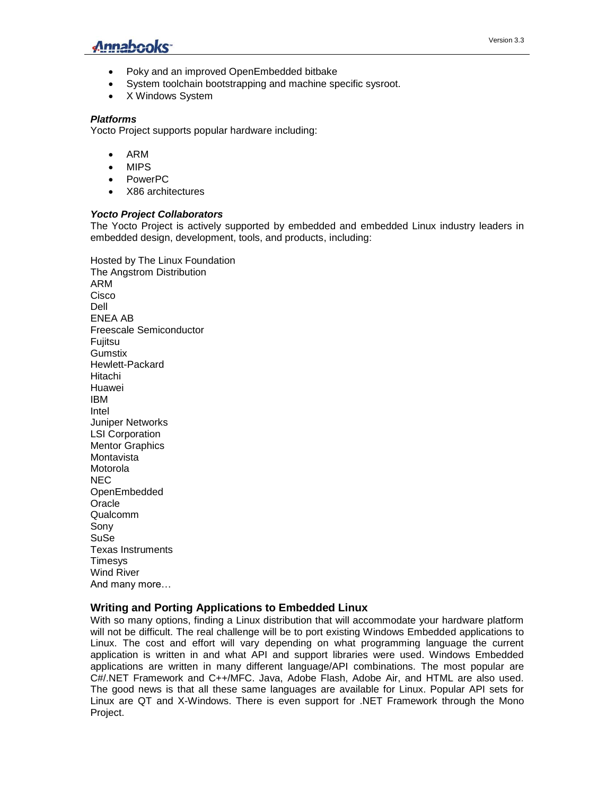

- Poky and an improved OpenEmbedded bitbake
- System toolchain bootstrapping and machine specific sysroot.
- X Windows System

#### *Platforms*

Yocto Project supports popular hardware including:

- ARM
- MIPS
- PowerPC
- X86 architectures

#### *Yocto Project Collaborators*

The Yocto Project is actively supported by embedded and embedded Linux industry leaders in embedded design, development, tools, and products, including:

Hosted by The Linux Foundation The Angstrom Distribution ARM Cisco Dell ENEA AB Freescale Semiconductor **Fujitsu Gumstix** Hewlett-Packard Hitachi Huawei IBM Intel Juniper Networks LSI Corporation Mentor Graphics **Montavista** Motorola NEC OpenEmbedded **Oracle** Qualcomm Sony SuSe Texas Instruments **Timesvs** Wind River And many more…

## **Writing and Porting Applications to Embedded Linux**

With so many options, finding a Linux distribution that will accommodate your hardware platform will not be difficult. The real challenge will be to port existing Windows Embedded applications to Linux. The cost and effort will vary depending on what programming language the current application is written in and what API and support libraries were used. Windows Embedded applications are written in many different language/API combinations. The most popular are C#/.NET Framework and C++/MFC. Java, Adobe Flash, Adobe Air, and HTML are also used. The good news is that all these same languages are available for Linux. Popular API sets for Linux are QT and X-Windows. There is even support for .NET Framework through the Mono Project.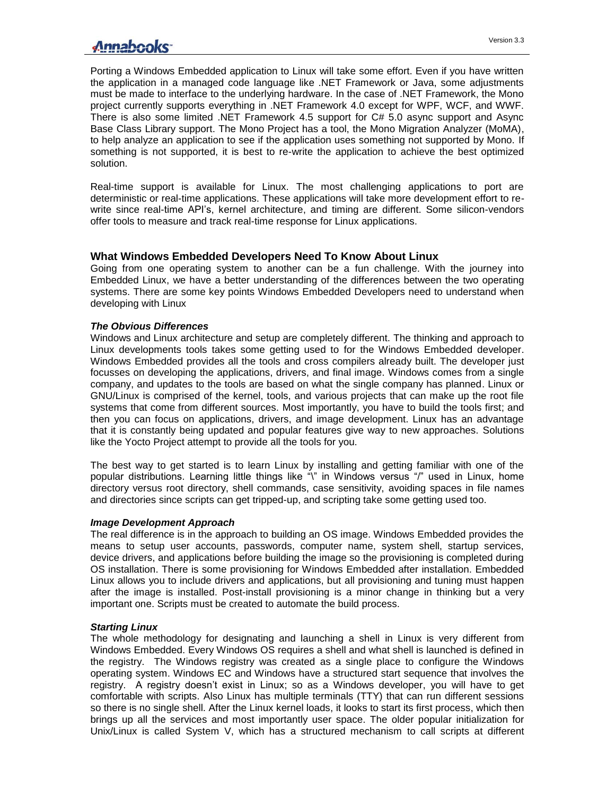## Annahooks-

Porting a Windows Embedded application to Linux will take some effort. Even if you have written the application in a managed code language like .NET Framework or Java, some adjustments must be made to interface to the underlying hardware. In the case of .NET Framework, the Mono project currently supports everything in .NET Framework 4.0 except for WPF, WCF, and WWF. There is also some limited .NET Framework 4.5 support for C# 5.0 async support and Async Base Class Library support. The Mono Project has a tool, the Mono Migration Analyzer (MoMA), to help analyze an application to see if the application uses something not supported by Mono. If something is not supported, it is best to re-write the application to achieve the best optimized solution.

Real-time support is available for Linux. The most challenging applications to port are deterministic or real-time applications. These applications will take more development effort to rewrite since real-time API's, kernel architecture, and timing are different. Some silicon-vendors offer tools to measure and track real-time response for Linux applications.

## **What Windows Embedded Developers Need To Know About Linux**

Going from one operating system to another can be a fun challenge. With the journey into Embedded Linux, we have a better understanding of the differences between the two operating systems. There are some key points Windows Embedded Developers need to understand when developing with Linux

#### *The Obvious Differences*

Windows and Linux architecture and setup are completely different. The thinking and approach to Linux developments tools takes some getting used to for the Windows Embedded developer. Windows Embedded provides all the tools and cross compilers already built. The developer just focusses on developing the applications, drivers, and final image. Windows comes from a single company, and updates to the tools are based on what the single company has planned. Linux or GNU/Linux is comprised of the kernel, tools, and various projects that can make up the root file systems that come from different sources. Most importantly, you have to build the tools first; and then you can focus on applications, drivers, and image development. Linux has an advantage that it is constantly being updated and popular features give way to new approaches. Solutions like the Yocto Project attempt to provide all the tools for you.

The best way to get started is to learn Linux by installing and getting familiar with one of the popular distributions. Learning little things like "\" in Windows versus "/" used in Linux, home directory versus root directory, shell commands, case sensitivity, avoiding spaces in file names and directories since scripts can get tripped-up, and scripting take some getting used too.

#### *Image Development Approach*

The real difference is in the approach to building an OS image. Windows Embedded provides the means to setup user accounts, passwords, computer name, system shell, startup services, device drivers, and applications before building the image so the provisioning is completed during OS installation. There is some provisioning for Windows Embedded after installation. Embedded Linux allows you to include drivers and applications, but all provisioning and tuning must happen after the image is installed. Post-install provisioning is a minor change in thinking but a very important one. Scripts must be created to automate the build process.

### *Starting Linux*

The whole methodology for designating and launching a shell in Linux is very different from Windows Embedded. Every Windows OS requires a shell and what shell is launched is defined in the registry. The Windows registry was created as a single place to configure the Windows operating system. Windows EC and Windows have a structured start sequence that involves the registry. A registry doesn't exist in Linux; so as a Windows developer, you will have to get comfortable with scripts. Also Linux has multiple terminals (TTY) that can run different sessions so there is no single shell. After the Linux kernel loads, it looks to start its first process, which then brings up all the services and most importantly user space. The older popular initialization for Unix/Linux is called System V, which has a structured mechanism to call scripts at different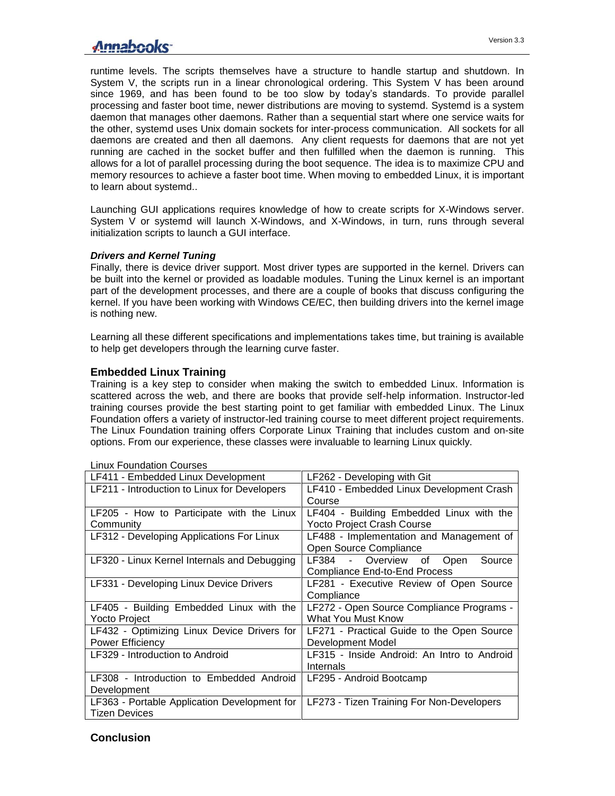## Annahooks-

runtime levels. The scripts themselves have a structure to handle startup and shutdown. In System V, the scripts run in a linear chronological ordering. This System V has been around since 1969, and has been found to be too slow by today's standards. To provide parallel processing and faster boot time, newer distributions are moving to systemd. Systemd is a system daemon that manages other daemons. Rather than a sequential start where one service waits for the other, systemd uses Unix domain sockets for inter-process communication. All sockets for all daemons are created and then all daemons. Any client requests for daemons that are not yet running are cached in the socket buffer and then fulfilled when the daemon is running. This allows for a lot of parallel processing during the boot sequence. The idea is to maximize CPU and memory resources to achieve a faster boot time. When moving to embedded Linux, it is important to learn about systemd..

Launching GUI applications requires knowledge of how to create scripts for X-Windows server. System V or systemd will launch X-Windows, and X-Windows, in turn, runs through several initialization scripts to launch a GUI interface.

#### *Drivers and Kernel Tuning*

Finally, there is device driver support. Most driver types are supported in the kernel. Drivers can be built into the kernel or provided as loadable modules. Tuning the Linux kernel is an important part of the development processes, and there are a couple of books that discuss configuring the kernel. If you have been working with Windows CE/EC, then building drivers into the kernel image is nothing new.

Learning all these different specifications and implementations takes time, but training is available to help get developers through the learning curve faster.

## **Embedded Linux Training**

Training is a key step to consider when making the switch to embedded Linux. Information is scattered across the web, and there are books that provide self-help information. Instructor-led training courses provide the best starting point to get familiar with embedded Linux. The Linux Foundation offers a variety of instructor-led training course to meet different project requirements. The Linux Foundation training offers Corporate Linux Training that includes custom and on-site options. From our experience, these classes were invaluable to learning Linux quickly.

| LF411 - Embedded Linux Development           | LF262 - Developing with Git                 |
|----------------------------------------------|---------------------------------------------|
| LF211 - Introduction to Linux for Developers | LF410 - Embedded Linux Development Crash    |
|                                              | Course                                      |
| LF205 - How to Participate with the Linux    | LF404 - Building Embedded Linux with the    |
| Community                                    | <b>Yocto Project Crash Course</b>           |
| LF312 - Developing Applications For Linux    | LF488 - Implementation and Management of    |
|                                              | Open Source Compliance                      |
| LF320 - Linux Kernel Internals and Debugging | LF384 - Overview of<br>Open<br>Source       |
|                                              | <b>Compliance End-to-End Process</b>        |
| LF331 - Developing Linux Device Drivers      | LF281 - Executive Review of Open Source     |
|                                              | Compliance                                  |
| LF405 - Building Embedded Linux with the     | LF272 - Open Source Compliance Programs -   |
| Yocto Project                                | What You Must Know                          |
| LF432 - Optimizing Linux Device Drivers for  | LF271 - Practical Guide to the Open Source  |
| Power Efficiency                             | Development Model                           |
| LF329 - Introduction to Android              | LF315 - Inside Android: An Intro to Android |
|                                              | Internals                                   |
| LF308 - Introduction to Embedded Android     | LF295 - Android Bootcamp                    |
| Development                                  |                                             |
| LF363 - Portable Application Development for | LF273 - Tizen Training For Non-Developers   |
| <b>Tizen Devices</b>                         |                                             |

#### Linux Foundation Courses

#### **Conclusion**